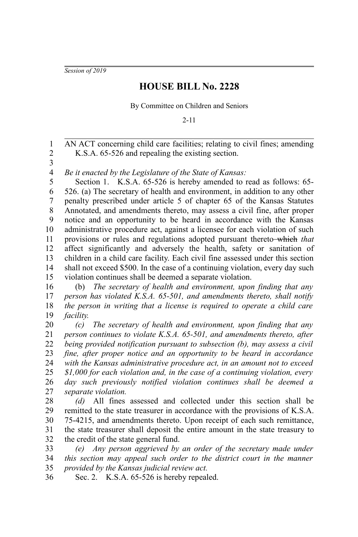*Session of 2019*

## **HOUSE BILL No. 2228**

By Committee on Children and Seniors

2-11

AN ACT concerning child care facilities; relating to civil fines; amending K.S.A. 65-526 and repealing the existing section. 1 2

3

*Be it enacted by the Legislature of the State of Kansas:* 4

Section 1. K.S.A. 65-526 is hereby amended to read as follows: 65-526. (a) The secretary of health and environment, in addition to any other penalty prescribed under article 5 of chapter 65 of the Kansas Statutes Annotated, and amendments thereto, may assess a civil fine, after proper notice and an opportunity to be heard in accordance with the Kansas administrative procedure act, against a licensee for each violation of such provisions or rules and regulations adopted pursuant thereto which *that* affect significantly and adversely the health, safety or sanitation of children in a child care facility. Each civil fine assessed under this section shall not exceed \$500. In the case of a continuing violation, every day such violation continues shall be deemed a separate violation. 5 6 7 8 9 10 11 12 13 14 15

(b) *The secretary of health and environment, upon finding that any person has violated K.S.A. 65-501, and amendments thereto, shall notify the person in writing that a license is required to operate a child care facility.* 16 17 18 19

*(c) The secretary of health and environment, upon finding that any person continues to violate K.S.A. 65-501, and amendments thereto, after being provided notification pursuant to subsection (b), may assess a civil fine, after proper notice and an opportunity to be heard in accordance with the Kansas administrative procedure act, in an amount not to exceed \$1,000 for each violation and, in the case of a continuing violation, every day such previously notified violation continues shall be deemed a separate violation.* 20 21 22 23 24 25 26 27

*(d)* All fines assessed and collected under this section shall be remitted to the state treasurer in accordance with the provisions of K.S.A. 75-4215, and amendments thereto. Upon receipt of each such remittance, the state treasurer shall deposit the entire amount in the state treasury to the credit of the state general fund. 28 29 30 31 32

*(e) Any person aggrieved by an order of the secretary made under this section may appeal such order to the district court in the manner provided by the Kansas judicial review act.* 33 34 35

Sec. 2. K.S.A. 65-526 is hereby repealed. 36